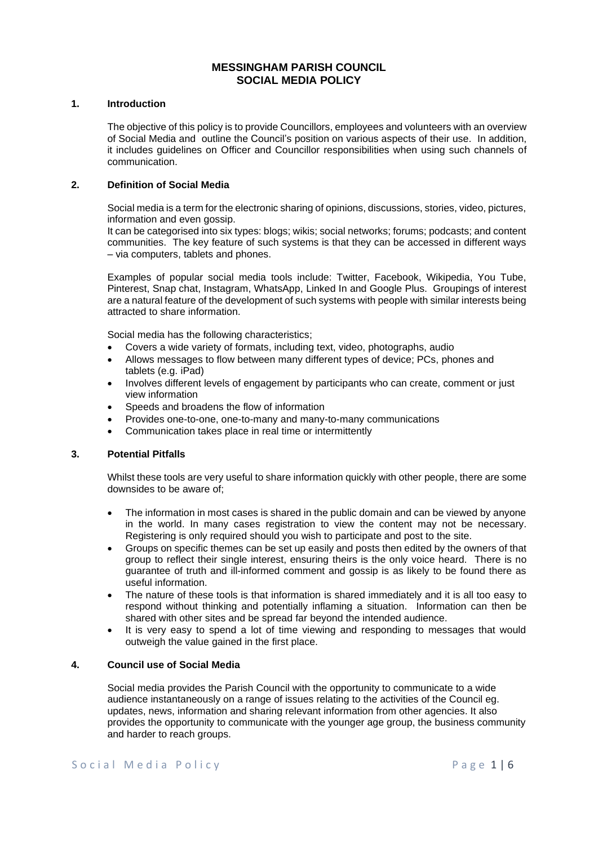# **MESSINGHAM PARISH COUNCIL SOCIAL MEDIA POLICY**

### **1. Introduction**

The objective of this policy is to provide Councillors, employees and volunteers with an overview of Social Media and outline the Council's position on various aspects of their use. In addition, it includes guidelines on Officer and Councillor responsibilities when using such channels of communication.

## **2. Definition of Social Media**

Social media is a term for the electronic sharing of opinions, discussions, stories, video, pictures, information and even gossip.

It can be categorised into six types: blogs; wikis; social networks; forums; podcasts; and content communities. The key feature of such systems is that they can be accessed in different ways – via computers, tablets and phones.

Examples of popular social media tools include: Twitter, Facebook, Wikipedia, You Tube, Pinterest, Snap chat, Instagram, WhatsApp, Linked In and Google Plus. Groupings of interest are a natural feature of the development of such systems with people with similar interests being attracted to share information.

Social media has the following characteristics;

- Covers a wide variety of formats, including text, video, photographs, audio
- Allows messages to flow between many different types of device; PCs, phones and tablets (e.g. iPad)
- Involves different levels of engagement by participants who can create, comment or just view information
- Speeds and broadens the flow of information
- Provides one-to-one, one-to-many and many-to-many communications
- Communication takes place in real time or intermittently

### **3. Potential Pitfalls**

Whilst these tools are very useful to share information quickly with other people, there are some downsides to be aware of;

- The information in most cases is shared in the public domain and can be viewed by anyone in the world. In many cases registration to view the content may not be necessary. Registering is only required should you wish to participate and post to the site.
- Groups on specific themes can be set up easily and posts then edited by the owners of that group to reflect their single interest, ensuring theirs is the only voice heard. There is no guarantee of truth and ill-informed comment and gossip is as likely to be found there as useful information.
- The nature of these tools is that information is shared immediately and it is all too easy to respond without thinking and potentially inflaming a situation. Information can then be shared with other sites and be spread far beyond the intended audience.
- It is very easy to spend a lot of time viewing and responding to messages that would outweigh the value gained in the first place.

### **4. Council use of Social Media**

Social media provides the Parish Council with the opportunity to communicate to a wide audience instantaneously on a range of issues relating to the activities of the Council eg. updates, news, information and sharing relevant information from other agencies. It also provides the opportunity to communicate with the younger age group, the business community and harder to reach groups.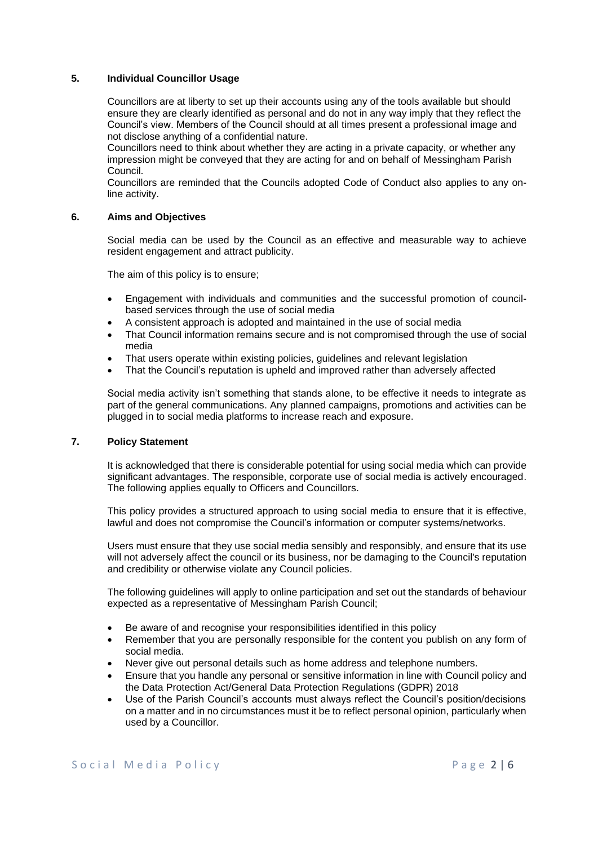### **5. Individual Councillor Usage**

Councillors are at liberty to set up their accounts using any of the tools available but should ensure they are clearly identified as personal and do not in any way imply that they reflect the Council's view. Members of the Council should at all times present a professional image and not disclose anything of a confidential nature.

Councillors need to think about whether they are acting in a private capacity, or whether any impression might be conveyed that they are acting for and on behalf of Messingham Parish Council.

Councillors are reminded that the Councils adopted Code of Conduct also applies to any online activity.

## **6. Aims and Objectives**

Social media can be used by the Council as an effective and measurable way to achieve resident engagement and attract publicity.

The aim of this policy is to ensure;

- Engagement with individuals and communities and the successful promotion of councilbased services through the use of social media
- A consistent approach is adopted and maintained in the use of social media
- That Council information remains secure and is not compromised through the use of social media
- That users operate within existing policies, guidelines and relevant legislation
- That the Council's reputation is upheld and improved rather than adversely affected

Social media activity isn't something that stands alone, to be effective it needs to integrate as part of the general communications. Any planned campaigns, promotions and activities can be plugged in to social media platforms to increase reach and exposure.

### **7. Policy Statement**

It is acknowledged that there is considerable potential for using social media which can provide significant advantages. The responsible, corporate use of social media is actively encouraged. The following applies equally to Officers and Councillors.

This policy provides a structured approach to using social media to ensure that it is effective, lawful and does not compromise the Council's information or computer systems/networks.

Users must ensure that they use social media sensibly and responsibly, and ensure that its use will not adversely affect the council or its business, nor be damaging to the Council's reputation and credibility or otherwise violate any Council policies.

The following guidelines will apply to online participation and set out the standards of behaviour expected as a representative of Messingham Parish Council;

- Be aware of and recognise your responsibilities identified in this policy
- Remember that you are personally responsible for the content you publish on any form of social media.
- Never give out personal details such as home address and telephone numbers.
- Ensure that you handle any personal or sensitive information in line with Council policy and the Data Protection Act/General Data Protection Regulations (GDPR) 2018
- Use of the Parish Council's accounts must always reflect the Council's position/decisions on a matter and in no circumstances must it be to reflect personal opinion, particularly when used by a Councillor.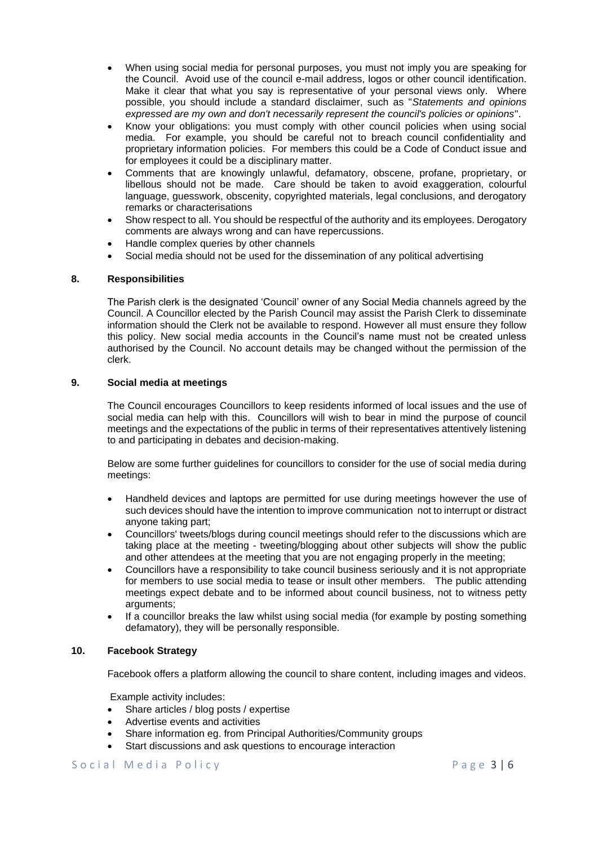- When using social media for personal purposes, you must not imply you are speaking for the Council. Avoid use of the council e-mail address, logos or other council identification. Make it clear that what you say is representative of your personal views only. Where possible, you should include a standard disclaimer, such as "*Statements and opinions expressed are my own and don't necessarily represent the council's policies or opinions*".
- Know your obligations: you must comply with other council policies when using social media. For example, you should be careful not to breach council confidentiality and proprietary information policies. For members this could be a Code of Conduct issue and for employees it could be a disciplinary matter.
- Comments that are knowingly unlawful, defamatory, obscene, profane, proprietary, or libellous should not be made. Care should be taken to avoid exaggeration, colourful language, guesswork, obscenity, copyrighted materials, legal conclusions, and derogatory remarks or characterisations
- Show respect to all. You should be respectful of the authority and its employees. Derogatory comments are always wrong and can have repercussions.
- Handle complex queries by other channels
- Social media should not be used for the dissemination of any political advertising

## **8. Responsibilities**

The Parish clerk is the designated 'Council' owner of any Social Media channels agreed by the Council. A Councillor elected by the Parish Council may assist the Parish Clerk to disseminate information should the Clerk not be available to respond. However all must ensure they follow this policy. New social media accounts in the Council's name must not be created unless authorised by the Council. No account details may be changed without the permission of the clerk.

## **9. Social media at meetings**

The Council encourages Councillors to keep residents informed of local issues and the use of social media can help with this. Councillors will wish to bear in mind the purpose of council meetings and the expectations of the public in terms of their representatives attentively listening to and participating in debates and decision-making.

Below are some further guidelines for councillors to consider for the use of social media during meetings:

- Handheld devices and laptops are permitted for use during meetings however the use of such devices should have the intention to improve communication not to interrupt or distract anyone taking part;
- Councillors' tweets/blogs during council meetings should refer to the discussions which are taking place at the meeting - tweeting/blogging about other subjects will show the public and other attendees at the meeting that you are not engaging properly in the meeting;
- Councillors have a responsibility to take council business seriously and it is not appropriate for members to use social media to tease or insult other members. The public attending meetings expect debate and to be informed about council business, not to witness petty arguments;
- If a councillor breaks the law whilst using social media (for example by posting something defamatory), they will be personally responsible.

### **10. Facebook Strategy**

Facebook offers a platform allowing the council to share content, including images and videos.

Example activity includes:

- Share articles / blog posts / expertise
- Advertise events and activities
- Share information eg. from Principal Authorities/Community groups
- Start discussions and ask questions to encourage interaction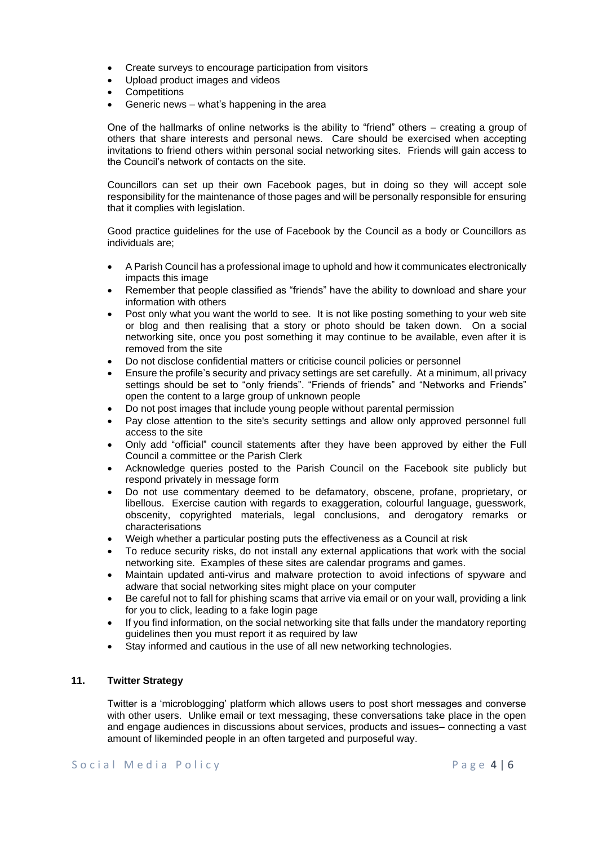- Create surveys to encourage participation from visitors
- Upload product images and videos
- **Competitions**
- Generic news what's happening in the area

One of the hallmarks of online networks is the ability to "friend" others – creating a group of others that share interests and personal news. Care should be exercised when accepting invitations to friend others within personal social networking sites. Friends will gain access to the Council's network of contacts on the site.

Councillors can set up their own Facebook pages, but in doing so they will accept sole responsibility for the maintenance of those pages and will be personally responsible for ensuring that it complies with legislation.

Good practice guidelines for the use of Facebook by the Council as a body or Councillors as individuals are;

- A Parish Council has a professional image to uphold and how it communicates electronically impacts this image
- Remember that people classified as "friends" have the ability to download and share your information with others
- Post only what you want the world to see. It is not like posting something to your web site or blog and then realising that a story or photo should be taken down. On a social networking site, once you post something it may continue to be available, even after it is removed from the site
- Do not disclose confidential matters or criticise council policies or personnel
- Ensure the profile's security and privacy settings are set carefully. At a minimum, all privacy settings should be set to "only friends". "Friends of friends" and "Networks and Friends" open the content to a large group of unknown people
- Do not post images that include young people without parental permission
- Pay close attention to the site's security settings and allow only approved personnel full access to the site
- Only add "official" council statements after they have been approved by either the Full Council a committee or the Parish Clerk
- Acknowledge queries posted to the Parish Council on the Facebook site publicly but respond privately in message form
- Do not use commentary deemed to be defamatory, obscene, profane, proprietary, or libellous. Exercise caution with regards to exaggeration, colourful language, guesswork, obscenity, copyrighted materials, legal conclusions, and derogatory remarks or characterisations
- Weigh whether a particular posting puts the effectiveness as a Council at risk
- To reduce security risks, do not install any external applications that work with the social networking site. Examples of these sites are calendar programs and games.
- Maintain updated anti-virus and malware protection to avoid infections of spyware and adware that social networking sites might place on your computer
- Be careful not to fall for phishing scams that arrive via email or on your wall, providing a link for you to click, leading to a fake login page
- If you find information, on the social networking site that falls under the mandatory reporting guidelines then you must report it as required by law
- Stay informed and cautious in the use of all new networking technologies.

## **11. Twitter Strategy**

Twitter is a 'microblogging' platform which allows users to post short messages and converse with other users. Unlike email or text messaging, these conversations take place in the open and engage audiences in discussions about services, products and issues– connecting a vast amount of likeminded people in an often targeted and purposeful way.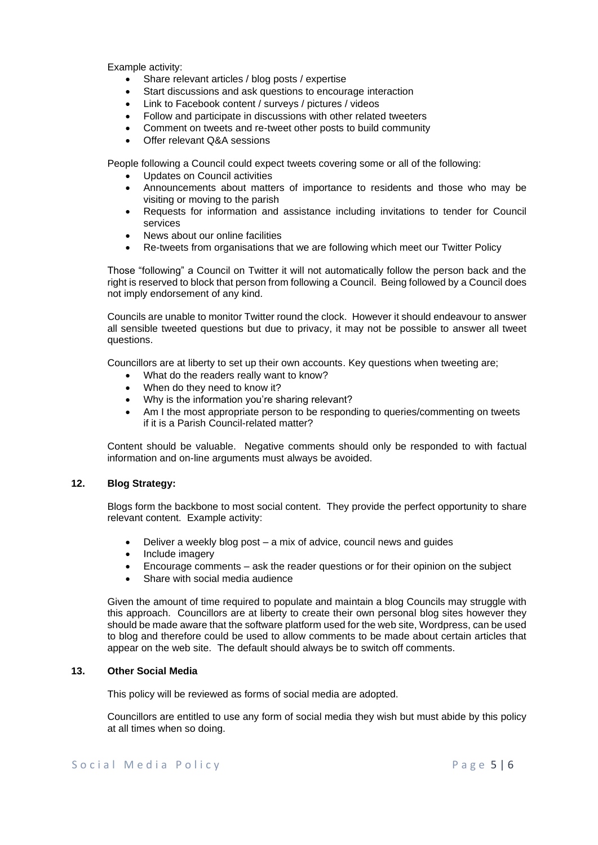Example activity:

- Share relevant articles / blog posts / expertise
- Start discussions and ask questions to encourage interaction
- Link to Facebook content / surveys / pictures / videos
- Follow and participate in discussions with other related tweeters
- Comment on tweets and re-tweet other posts to build community
- Offer relevant Q&A sessions

People following a Council could expect tweets covering some or all of the following:

- Updates on Council activities
- Announcements about matters of importance to residents and those who may be visiting or moving to the parish
- Requests for information and assistance including invitations to tender for Council services
- News about our online facilities
- Re-tweets from organisations that we are following which meet our Twitter Policy

Those "following" a Council on Twitter it will not automatically follow the person back and the right is reserved to block that person from following a Council. Being followed by a Council does not imply endorsement of any kind.

Councils are unable to monitor Twitter round the clock. However it should endeavour to answer all sensible tweeted questions but due to privacy, it may not be possible to answer all tweet questions.

Councillors are at liberty to set up their own accounts. Key questions when tweeting are;

- What do the readers really want to know?
- When do they need to know it?
- Why is the information you're sharing relevant?
- Am I the most appropriate person to be responding to queries/commenting on tweets if it is a Parish Council-related matter?

Content should be valuable. Negative comments should only be responded to with factual information and on-line arguments must always be avoided.

# **12. Blog Strategy:**

Blogs form the backbone to most social content. They provide the perfect opportunity to share relevant content. Example activity:

- Deliver a weekly blog post a mix of advice, council news and guides
- Include imagery
- Encourage comments ask the reader questions or for their opinion on the subject
- Share with social media audience

Given the amount of time required to populate and maintain a blog Councils may struggle with this approach. Councillors are at liberty to create their own personal blog sites however they should be made aware that the software platform used for the web site, Wordpress, can be used to blog and therefore could be used to allow comments to be made about certain articles that appear on the web site. The default should always be to switch off comments.

### **13. Other Social Media**

This policy will be reviewed as forms of social media are adopted.

Councillors are entitled to use any form of social media they wish but must abide by this policy at all times when so doing.